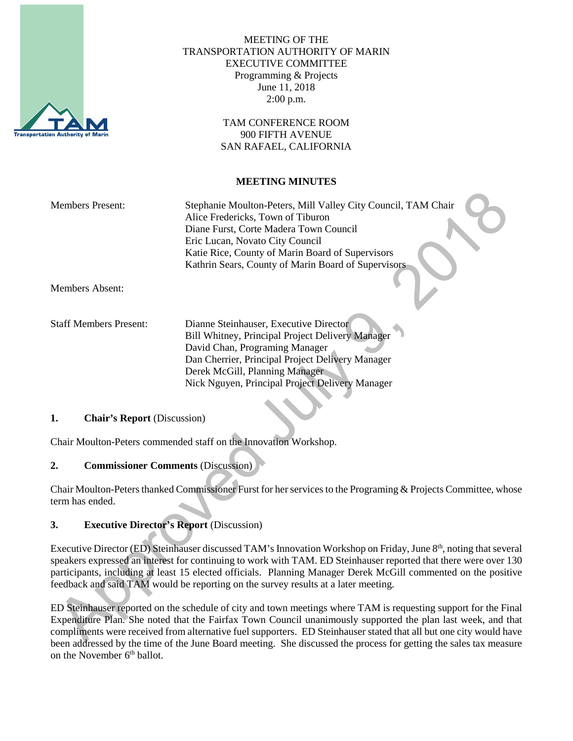

## MEETING OF THE TRANSPORTATION AUTHORITY OF MARIN EXECUTIVE COMMITTEE Programming & Projects June 11, 2018 2:00 p.m.

TAM CONFERENCE ROOM 900 FIFTH AVENUE SAN RAFAEL, CALIFORNIA

### **MEETING MINUTES**

| <b>Members Present:</b> | Stephanie Moulton-Peters, Mill Valley City Council, TAM Chair |
|-------------------------|---------------------------------------------------------------|
|                         | Alice Fredericks, Town of Tiburon                             |
|                         | Diane Furst, Corte Madera Town Council                        |
|                         | Eric Lucan, Novato City Council                               |
|                         | Katie Rice, County of Marin Board of Supervisors              |
|                         | Kathrin Sears, County of Marin Board of Supervisors           |
|                         |                                                               |
| Members Absent:         |                                                               |

Staff Members Present: Dianne Steinhauser, Executive Director Bill Whitney, Principal Project Delivery Manager David Chan, Programing Manager Dan Cherrier, Principal Project Delivery Manager Derek McGill, Planning Manager Nick Nguyen, Principal Project Delivery Manager

### **1. Chair's Report** (Discussion)

Chair Moulton-Peters commended staff on the Innovation Workshop.

### **2. Commissioner Comments** (Discussion)

Chair Moulton-Peters thanked Commissioner Furst for her services to the Programing & Projects Committee, whose term has ended.

### **3. Executive Director's Report** (Discussion)

Executive Director (ED) Steinhauser discussed TAM's Innovation Workshop on Friday, June 8<sup>th</sup>, noting that several speakers expressed an interest for continuing to work with TAM. ED Steinhauser reported that there were over 130 participants, including at least 15 elected officials. Planning Manager Derek McGill commented on the positive feedback and said TAM would be reporting on the survey results at a later meeting.

ED Steinhauser reported on the schedule of city and town meetings where TAM is requesting support for the Final Expenditure Plan. She noted that the Fairfax Town Council unanimously supported the plan last week, and that compliments were received from alternative fuel supporters. ED Steinhauser stated that all but one city would have been addressed by the time of the June Board meeting. She discussed the process for getting the sales tax measure on the November 6<sup>th</sup> ballot.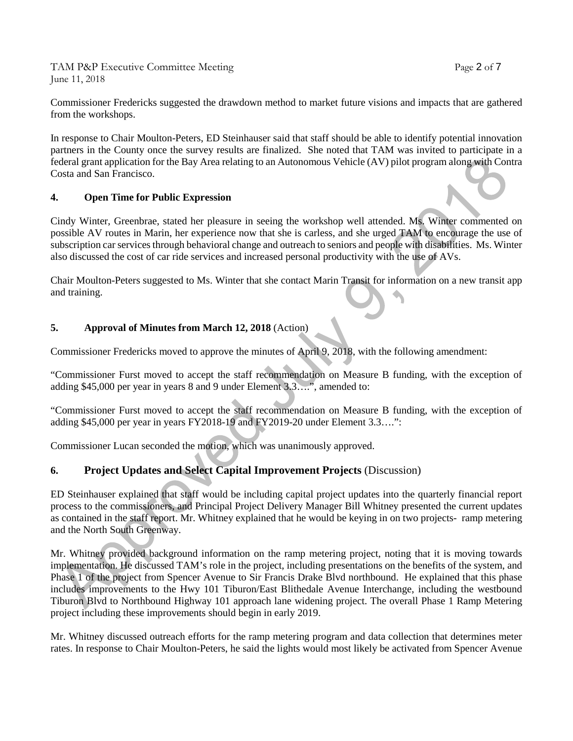TAM P&P Executive Committee Meeting Page 2 of 7 June 11, 2018

Commissioner Fredericks suggested the drawdown method to market future visions and impacts that are gathered from the workshops.

In response to Chair Moulton-Peters, ED Steinhauser said that staff should be able to identify potential innovation partners in the County once the survey results are finalized. She noted that TAM was invited to participate in a federal grant application for the Bay Area relating to an Autonomous Vehicle (AV) pilot program along with Contra Costa and San Francisco.

### **4. Open Time for Public Expression**

Cindy Winter, Greenbrae, stated her pleasure in seeing the workshop well attended. Ms. Winter commented on possible AV routes in Marin, her experience now that she is carless, and she urged TAM to encourage the use of subscription car services through behavioral change and outreach to seniors and people with disabilities. Ms. Winter also discussed the cost of car ride services and increased personal productivity with the use of AVs.

Chair Moulton-Peters suggested to Ms. Winter that she contact Marin Transit for information on a new transit app and training.

# **5. Approval of Minutes from March 12, 2018** (Action)

Commissioner Fredericks moved to approve the minutes of April 9, 2018, with the following amendment:

"Commissioner Furst moved to accept the staff recommendation on Measure B funding, with the exception of adding \$45,000 per year in years 8 and 9 under Element 3.3….", amended to:

"Commissioner Furst moved to accept the staff recommendation on Measure B funding, with the exception of adding \$45,000 per year in years FY2018-19 and FY2019-20 under Element 3.3….":

Commissioner Lucan seconded the motion, which was unanimously approved.

# **6. Project Updates and Select Capital Improvement Projects** (Discussion)

ED Steinhauser explained that staff would be including capital project updates into the quarterly financial report process to the commissioners, and Principal Project Delivery Manager Bill Whitney presented the current updates as contained in the staff report. Mr. Whitney explained that he would be keying in on two projects- ramp metering and the North South Greenway.

Mr. Whitney provided background information on the ramp metering project, noting that it is moving towards implementation. He discussed TAM's role in the project, including presentations on the benefits of the system, and Phase 1 of the project from Spencer Avenue to Sir Francis Drake Blvd northbound. He explained that this phase includes improvements to the Hwy 101 Tiburon/East Blithedale Avenue Interchange, including the westbound Tiburon Blvd to Northbound Highway 101 approach lane widening project. The overall Phase 1 Ramp Metering project including these improvements should begin in early 2019.

Mr. Whitney discussed outreach efforts for the ramp metering program and data collection that determines meter rates. In response to Chair Moulton-Peters, he said the lights would most likely be activated from Spencer Avenue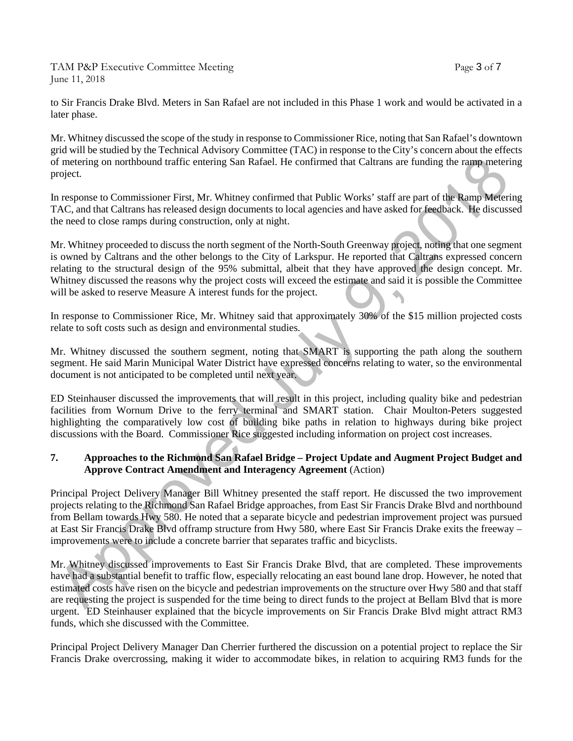TAM P&P Executive Committee Meeting Page 3 of 7 June 11, 2018

to Sir Francis Drake Blvd. Meters in San Rafael are not included in this Phase 1 work and would be activated in a later phase.

Mr. Whitney discussed the scope of the study in response to Commissioner Rice, noting that San Rafael's downtown grid will be studied by the Technical Advisory Committee (TAC) in response to the City's concern about the effects of metering on northbound traffic entering San Rafael. He confirmed that Caltrans are funding the ramp metering project.

In response to Commissioner First, Mr. Whitney confirmed that Public Works' staff are part of the Ramp Metering TAC, and that Caltrans has released design documents to local agencies and have asked for feedback. He discussed the need to close ramps during construction, only at night.

Mr. Whitney proceeded to discuss the north segment of the North-South Greenway project, noting that one segment is owned by Caltrans and the other belongs to the City of Larkspur. He reported that Caltrans expressed concern relating to the structural design of the 95% submittal, albeit that they have approved the design concept. Mr. Whitney discussed the reasons why the project costs will exceed the estimate and said it is possible the Committee will be asked to reserve Measure A interest funds for the project.

In response to Commissioner Rice, Mr. Whitney said that approximately 30% of the \$15 million projected costs relate to soft costs such as design and environmental studies.

Mr. Whitney discussed the southern segment, noting that SMART is supporting the path along the southern segment. He said Marin Municipal Water District have expressed concerns relating to water, so the environmental document is not anticipated to be completed until next year.

ED Steinhauser discussed the improvements that will result in this project, including quality bike and pedestrian facilities from Wornum Drive to the ferry terminal and SMART station. Chair Moulton-Peters suggested highlighting the comparatively low cost of building bike paths in relation to highways during bike project discussions with the Board. Commissioner Rice suggested including information on project cost increases.

### **7. Approaches to the Richmond San Rafael Bridge – Project Update and Augment Project Budget and Approve Contract Amendment and Interagency Agreement** (Action)

Principal Project Delivery Manager Bill Whitney presented the staff report. He discussed the two improvement projects relating to the Richmond San Rafael Bridge approaches, from East Sir Francis Drake Blvd and northbound from Bellam towards Hwy 580. He noted that a separate bicycle and pedestrian improvement project was pursued at East Sir Francis Drake Blvd offramp structure from Hwy 580, where East Sir Francis Drake exits the freeway – improvements were to include a concrete barrier that separates traffic and bicyclists.

Mr. Whitney discussed improvements to East Sir Francis Drake Blvd, that are completed. These improvements have had a substantial benefit to traffic flow, especially relocating an east bound lane drop. However, he noted that estimated costs have risen on the bicycle and pedestrian improvements on the structure over Hwy 580 and that staff are requesting the project is suspended for the time being to direct funds to the project at Bellam Blvd that is more urgent. ED Steinhauser explained that the bicycle improvements on Sir Francis Drake Blvd might attract RM3 funds, which she discussed with the Committee.

Principal Project Delivery Manager Dan Cherrier furthered the discussion on a potential project to replace the Sir Francis Drake overcrossing, making it wider to accommodate bikes, in relation to acquiring RM3 funds for the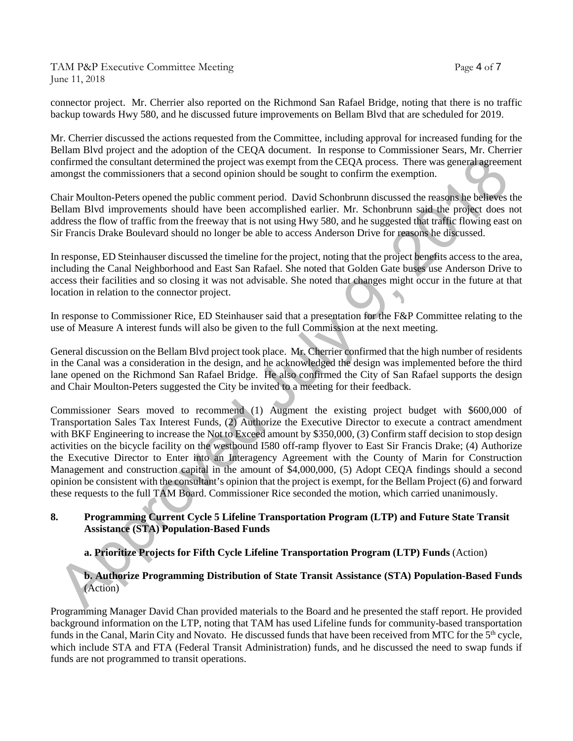TAM P&P Executive Committee Meeting Page 4 of 7 June 11, 2018

connector project. Mr. Cherrier also reported on the Richmond San Rafael Bridge, noting that there is no traffic backup towards Hwy 580, and he discussed future improvements on Bellam Blvd that are scheduled for 2019.

Mr. Cherrier discussed the actions requested from the Committee, including approval for increased funding for the Bellam Blvd project and the adoption of the CEQA document. In response to Commissioner Sears, Mr. Cherrier confirmed the consultant determined the project was exempt from the CEQA process. There was general agreement amongst the commissioners that a second opinion should be sought to confirm the exemption.

Chair Moulton-Peters opened the public comment period. David Schonbrunn discussed the reasons he believes the Bellam Blvd improvements should have been accomplished earlier. Mr. Schonbrunn said the project does not address the flow of traffic from the freeway that is not using Hwy 580, and he suggested that traffic flowing east on Sir Francis Drake Boulevard should no longer be able to access Anderson Drive for reasons he discussed.

In response, ED Steinhauser discussed the timeline for the project, noting that the project benefits access to the area, including the Canal Neighborhood and East San Rafael. She noted that Golden Gate buses use Anderson Drive to access their facilities and so closing it was not advisable. She noted that changes might occur in the future at that location in relation to the connector project.

In response to Commissioner Rice, ED Steinhauser said that a presentation for the F&P Committee relating to the use of Measure A interest funds will also be given to the full Commission at the next meeting.

General discussion on the Bellam Blvd project took place. Mr. Cherrier confirmed that the high number of residents in the Canal was a consideration in the design, and he acknowledged the design was implemented before the third lane opened on the Richmond San Rafael Bridge. He also confirmed the City of San Rafael supports the design and Chair Moulton-Peters suggested the City be invited to a meeting for their feedback.

Commissioner Sears moved to recommend (1) Augment the existing project budget with \$600,000 of Transportation Sales Tax Interest Funds, (2) Authorize the Executive Director to execute a contract amendment with BKF Engineering to increase the Not to Exceed amount by \$350,000, (3) Confirm staff decision to stop design activities on the bicycle facility on the westbound I580 off-ramp flyover to East Sir Francis Drake; (4) Authorize the Executive Director to Enter into an Interagency Agreement with the County of Marin for Construction Management and construction capital in the amount of \$4,000,000, (5) Adopt CEQA findings should a second opinion be consistent with the consultant's opinion that the project is exempt, for the Bellam Project (6) and forward these requests to the full TAM Board. Commissioner Rice seconded the motion, which carried unanimously.

### **8. Programming Current Cycle 5 Lifeline Transportation Program (LTP) and Future State Transit Assistance (STA) Population-Based Funds**

# **a. Prioritize Projects for Fifth Cycle Lifeline Transportation Program (LTP) Funds** (Action)

### **b. Authorize Programming Distribution of State Transit Assistance (STA) Population-Based Funds** (Action)

Programming Manager David Chan provided materials to the Board and he presented the staff report. He provided background information on the LTP, noting that TAM has used Lifeline funds for community-based transportation funds in the Canal, Marin City and Novato. He discussed funds that have been received from MTC for the  $5<sup>th</sup>$  cycle, which include STA and FTA (Federal Transit Administration) funds, and he discussed the need to swap funds if funds are not programmed to transit operations.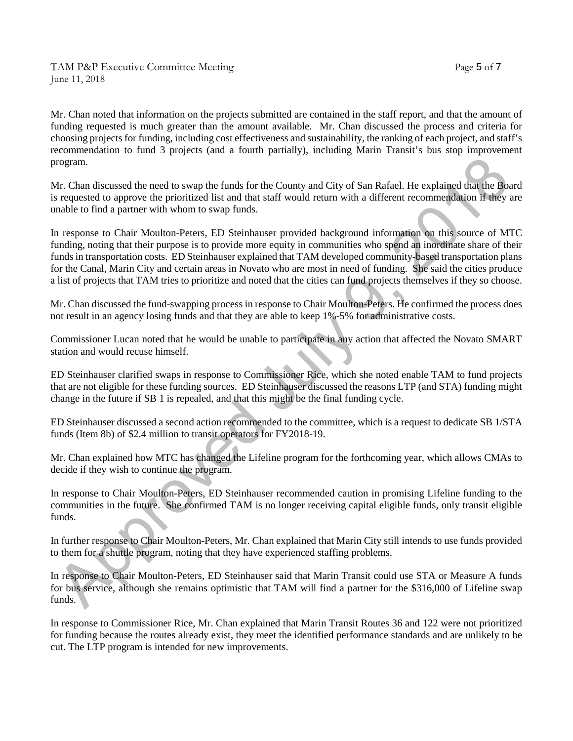Mr. Chan noted that information on the projects submitted are contained in the staff report, and that the amount of funding requested is much greater than the amount available. Mr. Chan discussed the process and criteria for choosing projects for funding, including cost effectiveness and sustainability, the ranking of each project, and staff's recommendation to fund 3 projects (and a fourth partially), including Marin Transit's bus stop improvement program.

Mr. Chan discussed the need to swap the funds for the County and City of San Rafael. He explained that the Board is requested to approve the prioritized list and that staff would return with a different recommendation if they are unable to find a partner with whom to swap funds.

In response to Chair Moulton-Peters, ED Steinhauser provided background information on this source of MTC funding, noting that their purpose is to provide more equity in communities who spend an inordinate share of their funds in transportation costs. ED Steinhauser explained that TAM developed community-based transportation plans for the Canal, Marin City and certain areas in Novato who are most in need of funding. She said the cities produce a list of projects that TAM tries to prioritize and noted that the cities can fund projects themselves if they so choose.

Mr. Chan discussed the fund-swapping process in response to Chair Moulton-Peters. He confirmed the process does not result in an agency losing funds and that they are able to keep 1%-5% for administrative costs.

Commissioner Lucan noted that he would be unable to participate in any action that affected the Novato SMART station and would recuse himself.

ED Steinhauser clarified swaps in response to Commissioner Rice, which she noted enable TAM to fund projects that are not eligible for these funding sources. ED Steinhauser discussed the reasons LTP (and STA) funding might change in the future if SB 1 is repealed, and that this might be the final funding cycle.

ED Steinhauser discussed a second action recommended to the committee, which is a request to dedicate SB 1/STA funds (Item 8b) of \$2.4 million to transit operators for FY2018-19.

Mr. Chan explained how MTC has changed the Lifeline program for the forthcoming year, which allows CMAs to decide if they wish to continue the program.

In response to Chair Moulton-Peters, ED Steinhauser recommended caution in promising Lifeline funding to the communities in the future. She confirmed TAM is no longer receiving capital eligible funds, only transit eligible funds.

In further response to Chair Moulton-Peters, Mr. Chan explained that Marin City still intends to use funds provided to them for a shuttle program, noting that they have experienced staffing problems.

In response to Chair Moulton-Peters, ED Steinhauser said that Marin Transit could use STA or Measure A funds for bus service, although she remains optimistic that TAM will find a partner for the \$316,000 of Lifeline swap funds.

In response to Commissioner Rice, Mr. Chan explained that Marin Transit Routes 36 and 122 were not prioritized for funding because the routes already exist, they meet the identified performance standards and are unlikely to be cut. The LTP program is intended for new improvements.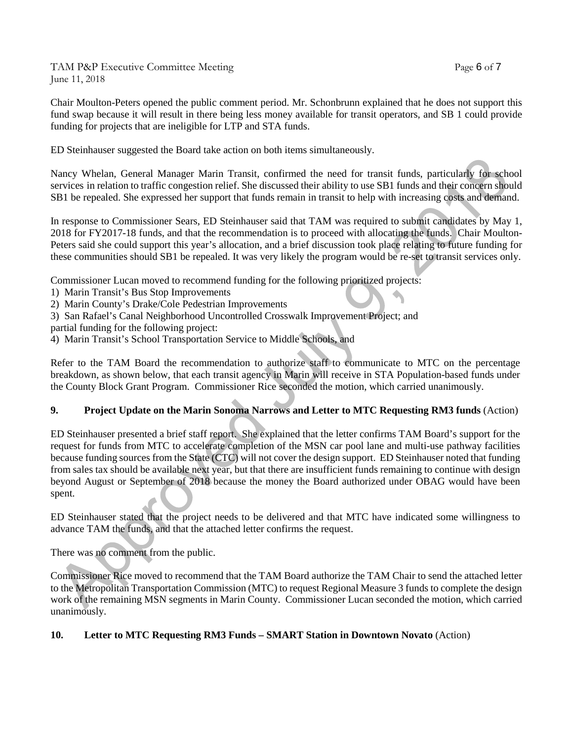TAM P&P Executive Committee Meeting TAM Page 6 of 7 June 11, 2018

Chair Moulton-Peters opened the public comment period. Mr. Schonbrunn explained that he does not support this fund swap because it will result in there being less money available for transit operators, and SB 1 could provide funding for projects that are ineligible for LTP and STA funds.

ED Steinhauser suggested the Board take action on both items simultaneously.

Nancy Whelan, General Manager Marin Transit, confirmed the need for transit funds, particularly for school services in relation to traffic congestion relief. She discussed their ability to use SB1 funds and their concern should SB1 be repealed. She expressed her support that funds remain in transit to help with increasing costs and demand.

In response to Commissioner Sears, ED Steinhauser said that TAM was required to submit candidates by May 1, 2018 for FY2017-18 funds, and that the recommendation is to proceed with allocating the funds. Chair Moulton-Peters said she could support this year's allocation, and a brief discussion took place relating to future funding for these communities should SB1 be repealed. It was very likely the program would be re-set to transit services only.

Commissioner Lucan moved to recommend funding for the following prioritized projects:

- 1) Marin Transit's Bus Stop Improvements
- 2) Marin County's Drake/Cole Pedestrian Improvements
- 3) San Rafael's Canal Neighborhood Uncontrolled Crosswalk Improvement Project; and

partial funding for the following project:

4) Marin Transit's School Transportation Service to Middle Schools, and

Refer to the TAM Board the recommendation to authorize staff to communicate to MTC on the percentage breakdown, as shown below, that each transit agency in Marin will receive in STA Population-based funds under the County Block Grant Program. Commissioner Rice seconded the motion, which carried unanimously.

# **9. Project Update on the Marin Sonoma Narrows and Letter to MTC Requesting RM3 funds** (Action)

ED Steinhauser presented a brief staff report. She explained that the letter confirms TAM Board's support for the request for funds from MTC to accelerate completion of the MSN car pool lane and multi-use pathway facilities because funding sources from the State (CTC) will not cover the design support. ED Steinhauser noted that funding from sales tax should be available next year, but that there are insufficient funds remaining to continue with design beyond August or September of 2018 because the money the Board authorized under OBAG would have been spent.

ED Steinhauser stated that the project needs to be delivered and that MTC have indicated some willingness to advance TAM the funds, and that the attached letter confirms the request.

There was no comment from the public.

Commissioner Rice moved to recommend that the TAM Board authorize the TAM Chair to send the attached letter to the Metropolitan Transportation Commission (MTC) to request Regional Measure 3 funds to complete the design work of the remaining MSN segments in Marin County. Commissioner Lucan seconded the motion, which carried unanimously.

### **10. Letter to MTC Requesting RM3 Funds – SMART Station in Downtown Novato** (Action)